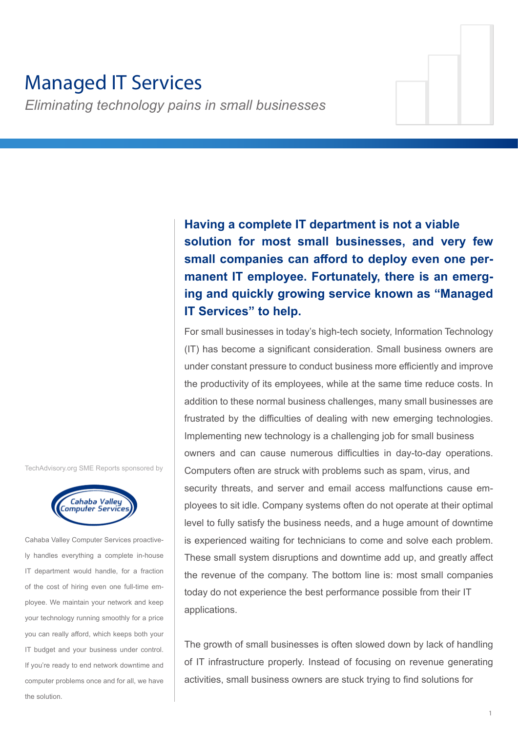# Managed IT Services

*Eliminating technology pains in small businesses*

**Having a complete IT department is not a viable solution for most small businesses, and very few small companies can afford to deploy even one permanent IT employee. Fortunately, there is an emerging and quickly growing service known as "Managed IT Services" to help.**

For small businesses in today's high-tech society, Information Technology (IT) has become a significant consideration. Small business owners are under constant pressure to conduct business more efficiently and improve the productivity of its employees, while at the same time reduce costs. In addition to these normal business challenges, many small businesses are frustrated by the difficulties of dealing with new emerging technologies. Implementing new technology is a challenging job for small business owners and can cause numerous difficulties in day-to-day operations. Computers often are struck with problems such as spam, virus, and security threats, and server and email access malfunctions cause employees to sit idle. Company systems often do not operate at their optimal level to fully satisfy the business needs, and a huge amount of downtime is experienced waiting for technicians to come and solve each problem. These small system disruptions and downtime add up, and greatly affect the revenue of the company. The bottom line is: most small companies today do not experience the best performance possible from their IT applications.

The growth of small businesses is often slowed down by lack of handling of IT infrastructure properly. Instead of focusing on revenue generating activities, small business owners are stuck trying to find solutions for

TechAdvisory.org SME Reports sponsored by



Cahaba Valley Computer Services proactively handles everything a complete in-house IT department would handle, for a fraction of the cost of hiring even one full-time employee. We maintain your network and keep your technology running smoothly for a price you can really afford, which keeps both your IT budget and your business under control. If you're ready to end network downtime and computer problems once and for all, we have the solution.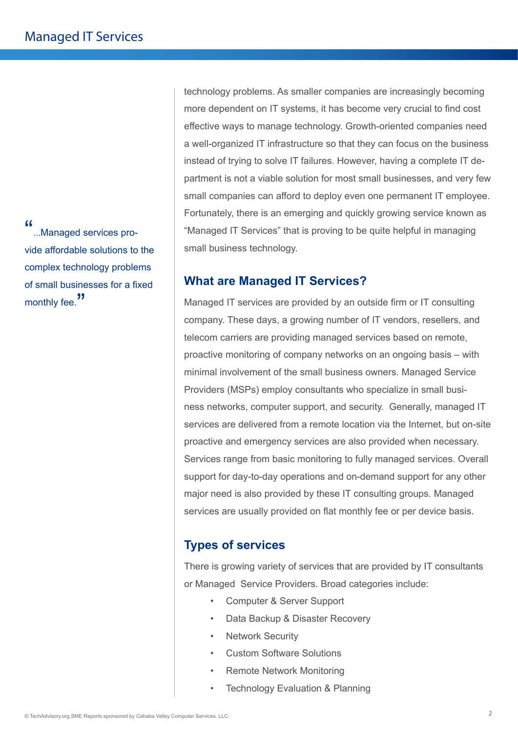"...Managed services provide affordable solutions to the complex technology problems of small businesses for a fixed monthly fee."

technology problems. As smaller companies are increasingly becoming more dependent on IT systems, it has become very crucial to find cost effective ways to manage technology. Growth-oriented companies need a well-organized IT infrastructure so that they can focus on the business instead of trying to solve IT failures. However, having a complete IT department is not a viable solution for most small businesses, and very few small companies can afford to deploy even one permanent IT employee. Fortunately, there is an emerging and quickly growing service known as "Managed IT Services" that is proving to be quite helpful in managing small business technology.

## **What are Managed IT Services?**

Managed IT services are provided by an outside firm or IT consulting company. These days, a growing number of IT vendors, resellers, and telecom carriers are providing managed services based on remote, proactive monitoring of company networks on an ongoing basis – with minimal involvement of the small business owners. Managed Service Providers (MSPs) employ consultants who specialize in small business networks, computer support, and security. Generally, managed IT services are delivered from a remote location via the Internet, but on-site proactive and emergency services are also provided when necessary. Services range from basic monitoring to fully managed services. Overall support for day-to-day operations and on-demand support for any other major need is also provided by these IT consulting groups. Managed services are usually provided on flat monthly fee or per device basis.

# **Types of services**

There is growing variety of services that are provided by IT consultants or Managed Service Providers. Broad categories include:

- Computer & Server Support
- Data Backup & Disaster Recovery
- **Network Security**
- Custom Software Solutions
- Remote Network Monitoring
- Technology Evaluation & Planning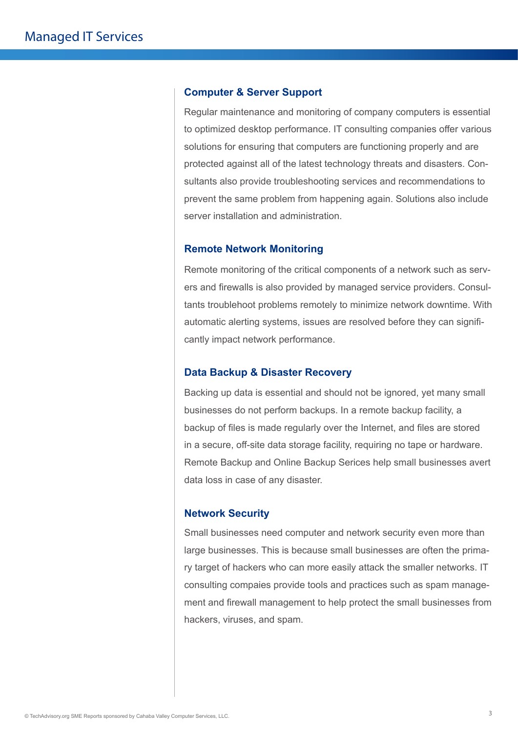#### **Computer & Server Support**

Regular maintenance and monitoring of company computers is essential to optimized desktop performance. IT consulting companies offer various solutions for ensuring that computers are functioning properly and are protected against all of the latest technology threats and disasters. Consultants also provide troubleshooting services and recommendations to prevent the same problem from happening again. Solutions also include server installation and administration.

### **Remote Network Monitoring**

Remote monitoring of the critical components of a network such as servers and firewalls is also provided by managed service providers. Consultants troublehoot problems remotely to minimize network downtime. With automatic alerting systems, issues are resolved before they can significantly impact network performance.

#### **Data Backup & Disaster Recovery**

Backing up data is essential and should not be ignored, yet many small businesses do not perform backups. In a remote backup facility, a backup of files is made regularly over the Internet, and files are stored in a secure, off-site data storage facility, requiring no tape or hardware. Remote Backup and Online Backup Serices help small businesses avert data loss in case of any disaster.

### **Network Security**

Small businesses need computer and network security even more than large businesses. This is because small businesses are often the primary target of hackers who can more easily attack the smaller networks. IT consulting compaies provide tools and practices such as spam management and firewall management to help protect the small businesses from hackers, viruses, and spam.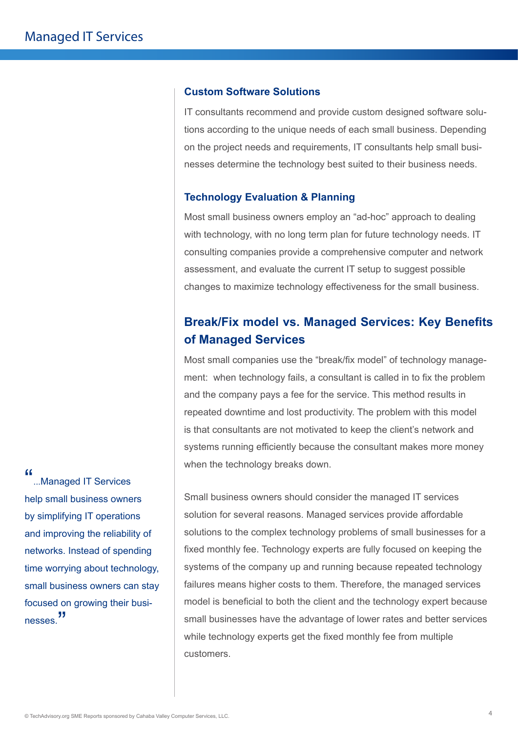### **Custom Software Solutions**

IT consultants recommend and provide custom designed software solutions according to the unique needs of each small business. Depending on the project needs and requirements, IT consultants help small businesses determine the technology best suited to their business needs.

#### **Technology Evaluation & Planning**

Most small business owners employ an "ad-hoc" approach to dealing with technology, with no long term plan for future technology needs. IT consulting companies provide a comprehensive computer and network assessment, and evaluate the current IT setup to suggest possible changes to maximize technology effectiveness for the small business.

# **Break/Fix model vs. Managed Services: Key Benefits of Managed Services**

Most small companies use the "break/fix model" of technology management: when technology fails, a consultant is called in to fix the problem and the company pays a fee for the service. This method results in repeated downtime and lost productivity. The problem with this model is that consultants are not motivated to keep the client's network and systems running efficiently because the consultant makes more money when the technology breaks down.

Small business owners should consider the managed IT services solution for several reasons. Managed services provide affordable solutions to the complex technology problems of small businesses for a fixed monthly fee. Technology experts are fully focused on keeping the systems of the company up and running because repeated technology failures means higher costs to them. Therefore, the managed services model is beneficial to both the client and the technology expert because small businesses have the advantage of lower rates and better services while technology experts get the fixed monthly fee from multiple customers.

"...Managed IT Services help small business owners by simplifying IT operations and improving the reliability of networks. Instead of spending time worrying about technology, small business owners can stay focused on growing their businesses.<sup>"</sup>